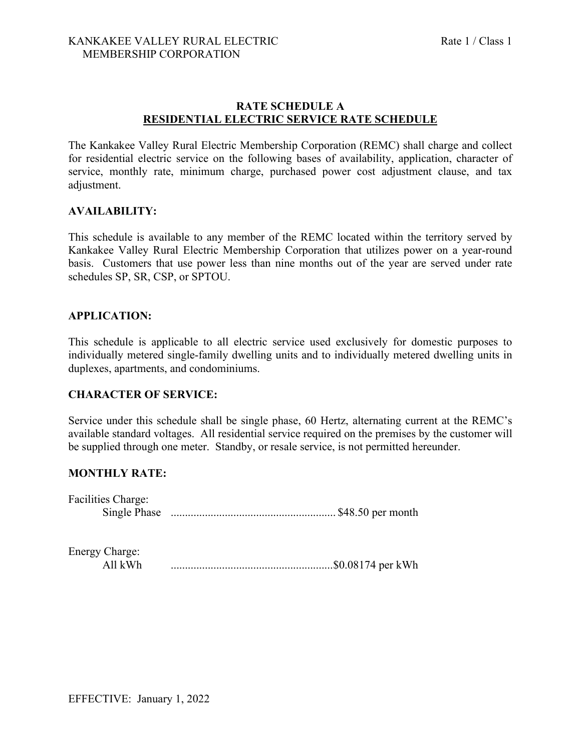## **RATE SCHEDULE A RESIDENTIAL ELECTRIC SERVICE RATE SCHEDULE**

The Kankakee Valley Rural Electric Membership Corporation (REMC) shall charge and collect for residential electric service on the following bases of availability, application, character of service, monthly rate, minimum charge, purchased power cost adjustment clause, and tax adjustment.

## **AVAILABILITY:**

This schedule is available to any member of the REMC located within the territory served by Kankakee Valley Rural Electric Membership Corporation that utilizes power on a year-round basis. Customers that use power less than nine months out of the year are served under rate schedules SP, SR, CSP, or SPTOU.

## **APPLICATION:**

This schedule is applicable to all electric service used exclusively for domestic purposes to individually metered single-family dwelling units and to individually metered dwelling units in duplexes, apartments, and condominiums.

# **CHARACTER OF SERVICE:**

Service under this schedule shall be single phase, 60 Hertz, alternating current at the REMC's available standard voltages. All residential service required on the premises by the customer will be supplied through one meter. Standby, or resale service, is not permitted hereunder.

## **MONTHLY RATE:**

| Facilities Charge: |  |
|--------------------|--|
|                    |  |

| Energy Charge: |  |
|----------------|--|
| All $kWh$      |  |